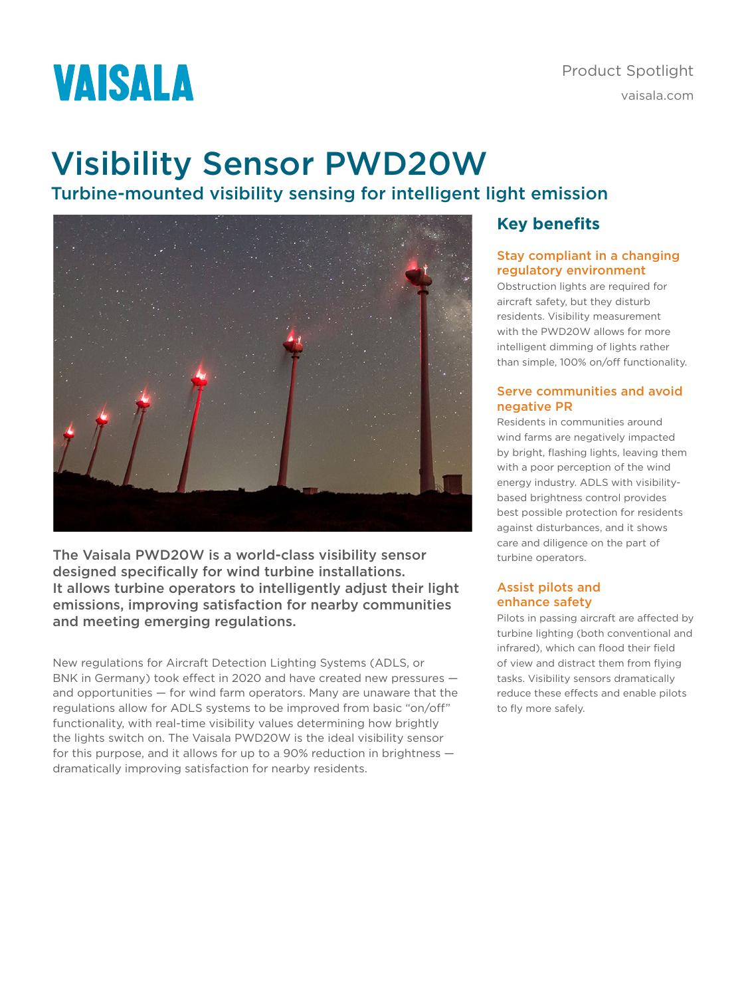# **VAISALA**

# Visibility Sensor PWD20W

# Turbine-mounted visibility sensing for intelligent light emission



The Vaisala PWD20W is a world-class visibility sensor designed specifically for wind turbine installations. It allows turbine operators to intelligently adjust their light emissions, improving satisfaction for nearby communities and meeting emerging regulations.

New regulations for Aircraft Detection Lighting Systems (ADLS, or BNK in Germany) took effect in 2020 and have created new pressures and opportunities — for wind farm operators. Many are unaware that the regulations allow for ADLS systems to be improved from basic "on/off" functionality, with real-time visibility values determining how brightly the lights switch on. The Vaisala PWD20W is the ideal visibility sensor for this purpose, and it allows for up to a 90% reduction in brightness dramatically improving satisfaction for nearby residents.

### **Key benefits**

#### Stay compliant in a changing regulatory environment

Obstruction lights are required for aircraft safety, but they disturb residents. Visibility measurement with the PWD20W allows for more intelligent dimming of lights rather than simple, 100% on/off functionality.

#### Serve communities and avoid negative PR

Residents in communities around wind farms are negatively impacted by bright, flashing lights, leaving them with a poor perception of the wind energy industry. ADLS with visibilitybased brightness control provides best possible protection for residents against disturbances, and it shows care and diligence on the part of turbine operators.

#### Assist pilots and enhance safety

Pilots in passing aircraft are affected by turbine lighting (both conventional and infrared), which can flood their field of view and distract them from flying tasks. Visibility sensors dramatically reduce these effects and enable pilots to fly more safely.